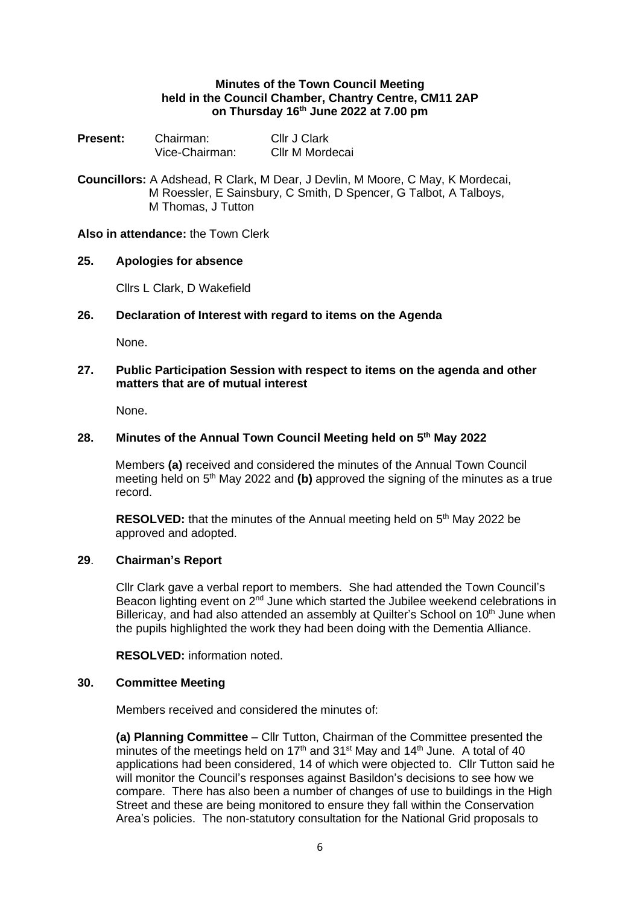# **Minutes of the Town Council Meeting held in the Council Chamber, Chantry Centre, CM11 2AP on Thursday 16th June 2022 at 7.00 pm**

| <b>Present:</b> | Chairman:      | Cllr J Clark    |
|-----------------|----------------|-----------------|
|                 | Vice-Chairman: | Cllr M Mordecai |

**Councillors:** A Adshead, R Clark, M Dear, J Devlin, M Moore, C May, K Mordecai, M Roessler, E Sainsbury, C Smith, D Spencer, G Talbot, A Talboys, M Thomas, J Tutton

## **Also in attendance:** the Town Clerk

## **25. Apologies for absence**

Cllrs L Clark, D Wakefield

# **26. Declaration of Interest with regard to items on the Agenda**

None.

## **27. Public Participation Session with respect to items on the agenda and other matters that are of mutual interest**

None.

# **28. Minutes of the Annual Town Council Meeting held on 5 th May 2022**

Members **(a)** received and considered the minutes of the Annual Town Council meeting held on 5<sup>th</sup> May 2022 and (b) approved the signing of the minutes as a true record.

RESOLVED: that the minutes of the Annual meeting held on 5<sup>th</sup> May 2022 be approved and adopted.

## **29**. **Chairman's Report**

Cllr Clark gave a verbal report to members. She had attended the Town Council's Beacon lighting event on  $2<sup>nd</sup>$  June which started the Jubilee weekend celebrations in Billericay, and had also attended an assembly at Quilter's School on 10<sup>th</sup> June when the pupils highlighted the work they had been doing with the Dementia Alliance.

**RESOLVED:** information noted.

#### **30. Committee Meeting**

Members received and considered the minutes of:

**(a) Planning Committee** – Cllr Tutton, Chairman of the Committee presented the minutes of the meetings held on 17<sup>th</sup> and 31<sup>st</sup> May and 14<sup>th</sup> June. A total of 40 applications had been considered, 14 of which were objected to. Cllr Tutton said he will monitor the Council's responses against Basildon's decisions to see how we compare. There has also been a number of changes of use to buildings in the High Street and these are being monitored to ensure they fall within the Conservation Area's policies. The non-statutory consultation for the National Grid proposals to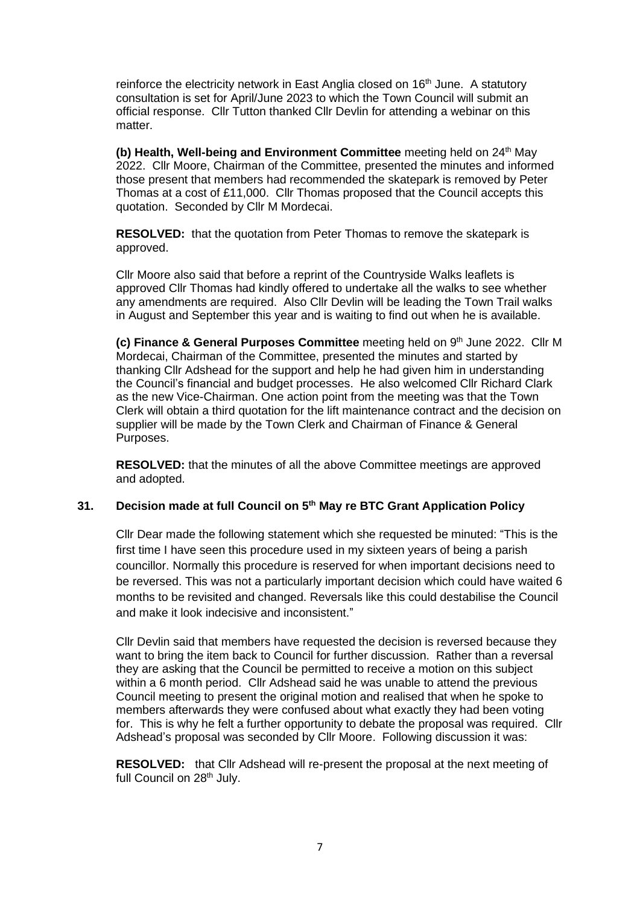reinforce the electricity network in East Anglia closed on 16<sup>th</sup> June. A statutory consultation is set for April/June 2023 to which the Town Council will submit an official response. Cllr Tutton thanked Cllr Devlin for attending a webinar on this matter.

**(b)** Health, Well-being and Environment Committee meeting held on 24<sup>th</sup> May 2022. Cllr Moore, Chairman of the Committee, presented the minutes and informed those present that members had recommended the skatepark is removed by Peter Thomas at a cost of £11,000. Cllr Thomas proposed that the Council accepts this quotation. Seconded by Cllr M Mordecai.

**RESOLVED:** that the quotation from Peter Thomas to remove the skatepark is approved.

Cllr Moore also said that before a reprint of the Countryside Walks leaflets is approved Cllr Thomas had kindly offered to undertake all the walks to see whether any amendments are required. Also Cllr Devlin will be leading the Town Trail walks in August and September this year and is waiting to find out when he is available.

(c) Finance & General Purposes Committee meeting held on 9<sup>th</sup> June 2022. Cllr M Mordecai, Chairman of the Committee, presented the minutes and started by thanking Cllr Adshead for the support and help he had given him in understanding the Council's financial and budget processes. He also welcomed Cllr Richard Clark as the new Vice-Chairman. One action point from the meeting was that the Town Clerk will obtain a third quotation for the lift maintenance contract and the decision on supplier will be made by the Town Clerk and Chairman of Finance & General Purposes.

**RESOLVED:** that the minutes of all the above Committee meetings are approved and adopted.

# **31. Decision made at full Council on 5th May re BTC Grant Application Policy**

Cllr Dear made the following statement which she requested be minuted: "This is the first time I have seen this procedure used in my sixteen years of being a parish councillor. Normally this procedure is reserved for when important decisions need to be reversed. This was not a particularly important decision which could have waited 6 months to be revisited and changed. Reversals like this could destabilise the Council and make it look indecisive and inconsistent."

Cllr Devlin said that members have requested the decision is reversed because they want to bring the item back to Council for further discussion. Rather than a reversal they are asking that the Council be permitted to receive a motion on this subject within a 6 month period. Cllr Adshead said he was unable to attend the previous Council meeting to present the original motion and realised that when he spoke to members afterwards they were confused about what exactly they had been voting for. This is why he felt a further opportunity to debate the proposal was required. Cllr Adshead's proposal was seconded by Cllr Moore. Following discussion it was:

**RESOLVED:** that Cllr Adshead will re-present the proposal at the next meeting of full Council on 28<sup>th</sup> July.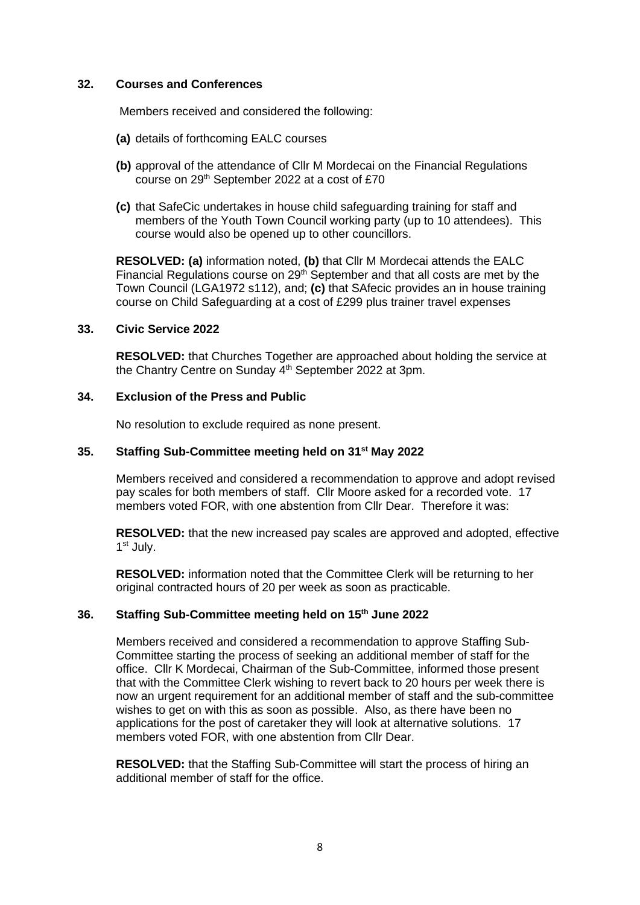### **32. Courses and Conferences**

Members received and considered the following:

- **(a)** details of forthcoming EALC courses
- **(b)** approval of the attendance of Cllr M Mordecai on the Financial Regulations course on 29<sup>th</sup> September 2022 at a cost of £70
- **(c)** that SafeCic undertakes in house child safeguarding training for staff and members of the Youth Town Council working party (up to 10 attendees). This course would also be opened up to other councillors.

**RESOLVED: (a)** information noted, **(b)** that Cllr M Mordecai attends the EALC Financial Regulations course on 29th September and that all costs are met by the Town Council (LGA1972 s112), and; **(c)** that SAfecic provides an in house training course on Child Safeguarding at a cost of £299 plus trainer travel expenses

## **33. Civic Service 2022**

**RESOLVED:** that Churches Together are approached about holding the service at the Chantry Centre on Sunday 4<sup>th</sup> September 2022 at 3pm.

# **34. Exclusion of the Press and Public**

No resolution to exclude required as none present.

# **35. Staffing Sub-Committee meeting held on 31st May 2022**

Members received and considered a recommendation to approve and adopt revised pay scales for both members of staff. Cllr Moore asked for a recorded vote. 17 members voted FOR, with one abstention from Cllr Dear. Therefore it was:

**RESOLVED:** that the new increased pay scales are approved and adopted, effective 1 st July.

**RESOLVED:** information noted that the Committee Clerk will be returning to her original contracted hours of 20 per week as soon as practicable.

# **36. Staffing Sub-Committee meeting held on 15th June 2022**

Members received and considered a recommendation to approve Staffing Sub-Committee starting the process of seeking an additional member of staff for the office. Cllr K Mordecai, Chairman of the Sub-Committee, informed those present that with the Committee Clerk wishing to revert back to 20 hours per week there is now an urgent requirement for an additional member of staff and the sub-committee wishes to get on with this as soon as possible. Also, as there have been no applications for the post of caretaker they will look at alternative solutions. 17 members voted FOR, with one abstention from Cllr Dear.

**RESOLVED:** that the Staffing Sub-Committee will start the process of hiring an additional member of staff for the office.